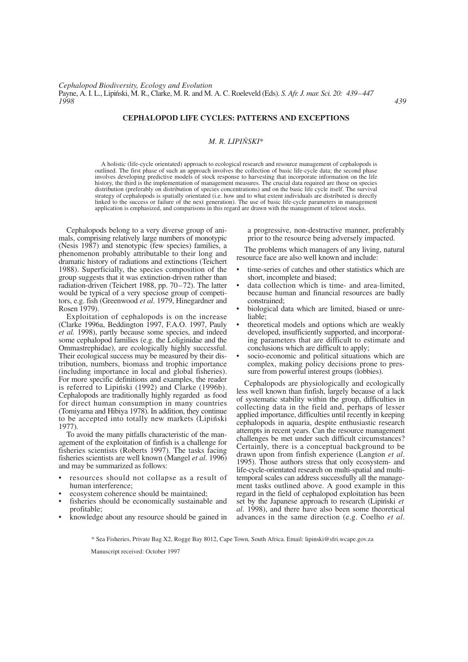# **CEPHALOPOD LIFE CYCLES: PATTERNS AND EXCEPTIONS**

# *M. R. LIPINSKI ´* \*

A holistic (life-cycle orientated) approach to ecological research and resource management of cephalopods is outlined. The first phase of such an approach involves the collection of basic life-cycle data; the second phase involves developing predictive models of stock response to harvesting that incorporate information on the life history, the third is the implementation of management measures. The crucial data required are those on species distribution (preferably on distribution of species concentrations) and on the basic life cycle itself. The survival strategy of cephalopods is spatially orientated (i.e. how and to what extent individuals are distributed is directly linked to the success or failure of the next generation). The use of basic life-cycle parameters in management application is emphasized, and comparisons in this regard are drawn with the management of teleost stocks.

Cephalopods belong to a very diverse group of animals, comprising relatively large numbers of monotypic (Nesis 1987) and stenotypic (few species) families, a phenomenon probably attributable to their long and dramatic history of radiations and extinctions (Teichert 1988). Superficially, the species composition of the group suggests that it was extinction-driven rather than radiation-driven (Teichert 1988, pp. 70–72). The latter would be typical of a very speciose group of competitors, e.g. fish (Greenwood *et al*. 1979, Hinegardner and Rosen 1979).

Exploitation of cephalopods is on the increase (Clarke 1996a, Beddington 1997, F.A.O. 1997, Pauly *et al.* 1998), partly because some species, and indeed some cephalopod families (e.g. the Loliginidae and the Ommastrephidae), are ecologically highly successful. Their ecological success may be measured by their distribution, numbers, biomass and trophic importance (including importance in local and global fisheries). For more specific definitions and examples, the reader is referred to Lipiński (1992) and Clarke (1996b). Cephalopods are traditionally highly regarded as food for direct human consumption in many countries (Tomiyama and Hibiya 1978). In addition, they continue to be accepted into totally new markets (Lipinski 1977).

To avoid the many pitfalls characteristic of the management of the exploitation of finfish is a challenge for fisheries scientists (Roberts 1997). The tasks facing fisheries scientists are well known (Mangel *et al*. 1996) and may be summarized as follows:

- resources should not collapse as a result of human interference;
- ecosystem coherence should be maintained;
- fisheries should be economically sustainable and profitable;
- knowledge about any resource should be gained in

a progressive, non-destructive manner, preferably prior to the resource being adversely impacted.

The problems which managers of any living, natural resource face are also well known and include:

- time-series of catches and other statistics which are short, incomplete and biased;
- data collection which is time- and area-limited, because human and financial resources are badly constrained;
- biological data which are limited, biased or unreliable;
- theoretical models and options which are weakly developed, insufficiently supported, and incorporating parameters that are difficult to estimate and conclusions which are difficult to apply;
- socio-economic and political situations which are complex, making policy decisions prone to pressure from powerful interest groups (lobbies).

Cephalopods are physiologically and ecologically less well known than finfish, largely because of a lack of systematic stability within the group, difficulties in collecting data in the field and, perhaps of lesser applied importance, difficulties until recently in keeping cephalopods in aquaria, despite enthusiastic research attempts in recent years. Can the resource management challenges be met under such difficult circumstances? Certainly, there is a conceptual background to be drawn upon from finfish experience (Langton *et al*. 1995). Those authors stress that only ecosystem- and life-cycle-orientated research on multi-spatial and multitemporal scales can address successfully all the management tasks outlined above. A good example in this regard in the field of cephalopod exploitation has been set by the Japanese approach to research (Lipiński *et*) *al*. 1998), and there have also been some theoretical advances in the same direction (e.g. Coelho *et al*.

\* Sea Fisheries, Private Bag X2, Rogge Bay 8012, Cape Town, South Africa. Email: lipinski@sfri.wcape.gov.za

Manuscript received: October 1997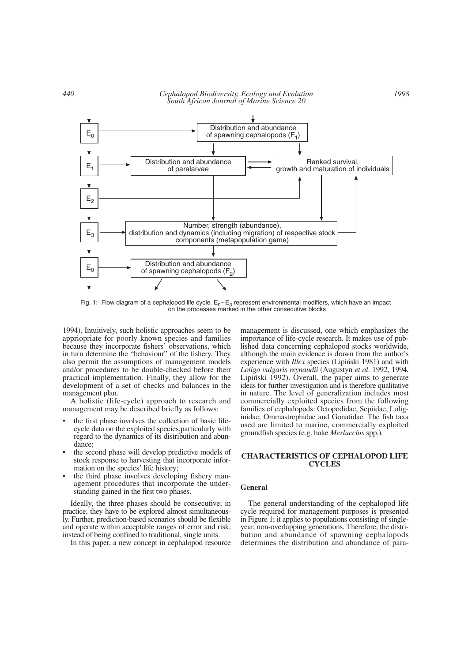

Fig. 1: Flow diagram of a cephalopod life cycle.  $E_0 - E_3$  represent environmental modifiers, which have an impact on the processes marked in the other consecutive blocks

1994). Intuitively, such holistic approaches seem to be appriopriate for poorly known species and families because they incorporate fishers' observations, which in turn determine the "behaviour" of the fishery. They also permit the assumptions of management models and/or procedures to be double-checked before their practical implementation. Finally, they allow for the development of a set of checks and balances in the management plan.

A holistic (life-cycle) approach to research and management may be described briefly as follows:

- the first phase involves the collection of basic lifecycle data on the exploited species,particularly with regard to the dynamics of its distribution and abundance;
- the second phase will develop predictive models of stock response to harvesting that incorporate information on the species' life history;
- the third phase involves developing fishery management procedures that incorporate the understanding gained in the first two phases.

Ideally, the three phases should be consecutive; in practice, they have to be explored almost simultaneously. Further, prediction-based scenarios should be flexible and operate within acceptable ranges of error and risk, instead of being confined to traditional, single units.

In this paper, a new concept in cephalopod resource

management is discussed, one which emphasizes the importance of life-cycle research. It makes use of published data concerning cephalopod stocks worldwide, although the main evidence is drawn from the author's experience with *Illex* species (Lipinski 1981) and with *Loligo vulgaris reynaudii* (Augustyn *et al*. 1992, 1994, Lipiński 1992). Overall, the paper aims to generate ideas for further investigation and is therefore qualitative in nature. The level of generalization includes most commercially exploited species from the following families of cephalopods: Octopodidae, Sepiidae, Loliginidae, Ommastrephidae and Gonatidae. The fish taxa used are limited to marine, commercially exploited groundfish species (e.g. hake *Merluccius* spp*.*).

# **CHARACTERISTICS OF CEPHALOPOD LIFE CYCLES**

## **General**

The general understanding of the cephalopod life cycle required for management purposes is presented in Figure 1; it applies to populations consisting of singleyear, non-overlapping generations. Therefore, the distribution and abundance of spawning cephalopods determines the distribution and abundance of para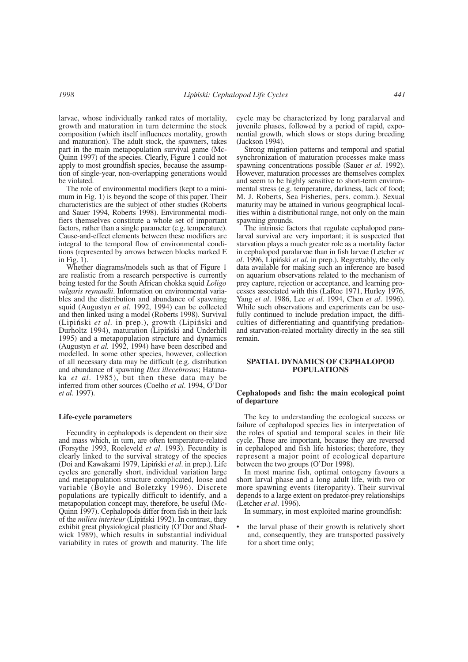larvae, whose individually ranked rates of mortality, growth and maturation in turn determine the stock composition (which itself influences mortality, growth and maturation). The adult stock, the spawners, takes part in the main metapopulation survival game (Mc-Quinn 1997) of the species. Clearly, Figure 1 could not apply to most groundfish species, because the assumption of single-year, non-overlapping generations would be violated.

The role of environmental modifiers (kept to a minimum in Fig. 1) is beyond the scope of this paper. Their characteristics are the subject of other studies (Roberts and Sauer 1994, Roberts 1998). Environmental modifiers themselves constitute a whole set of important factors, rather than a single parameter (e.g. temperature). Cause-and-effect elements between these modifiers are integral to the temporal flow of environmental conditions (represented by arrows between blocks marked E in Fig. 1).

Whether diagrams/models such as that of Figure 1 are realistic from a research perspective is currently being tested for the South African chokka squid *Loligo vulgaris reynaudii*. Information on environmental variables and the distribution and abundance of spawning squid (Augustyn *et al*. 1992, 1994) can be collected and then linked using a model (Roberts 1998). Survival (Lipiński *et al.* in prep.), growth (Lipiński and Durholtz 1994), maturation (Lipiński and Underhill 1995) and a metapopulation structure and dynamics (Augustyn *et al.* 1992, 1994) have been described and modelled. In some other species, however, collection of all necessary data may be difficult (e.g. distribution and abundance of spawning *Illex illecebrosus*; Hatanaka *et al*. 1985), but then these data may be inferred from other sources (Coelho *et al*. 1994, O'Dor *et al*. 1997).

#### **Life-cycle parameters**

Fecundity in cephalopods is dependent on their size and mass which, in turn, are often temperature-related (Forsythe 1993, Roeleveld *et al*. 1993). Fecundity is clearly linked to the survival strategy of the species (Doi and Kawakami 1979, Lipiński *et al.* in prep.). Life cycles are generally short, individual variation large and metapopulation structure complicated, loose and variable (Boyle and Boletzky 1996). Discrete populations are typically difficult to identify, and a metapopulation concept may, therefore, be useful (Mc-Quinn 1997). Cephalopods differ from fish in their lack of the *milieu interieur* (Lipiński 1992). In contrast, they exhibit great physiological plasticity (O'Dor and Shadwick 1989), which results in substantial individual variability in rates of growth and maturity. The life

cycle may be characterized by long paralarval and juvenile phases, followed by a period of rapid, exponential growth, which slows or stops during breeding (Jackson 1994).

Strong migration patterns and temporal and spatial synchronization of maturation processes make mass spawning concentrations possible (Sauer *et al*. 1992). However, maturation processes are themselves complex and seem to be highly sensitive to short-term environmental stress (e.g. temperature, darkness, lack of food; M. J. Roberts, Sea Fisheries, pers. comm.). Sexual maturity may be attained in various geographical localities within a distributional range, not only on the main spawning grounds.

The intrinsic factors that regulate cephalopod paralarval survival are very important; it is suspected that starvation plays a much greater role as a mortality factor in cephalopod paralarvae than in fish larvae (Letcher *et al.* 1996, Lipiński *et al.* in prep.). Regrettably, the only data available for making such an inference are based on aquarium observations related to the mechanism of prey capture, rejection or acceptance, and learning processes associated with this (LaRoe 1971, Hurley 1976, Yang *et al*. 1986, Lee *et al*. 1994, Chen *et al*. 1996). While such observations and experiments can be usefully continued to include predation impact, the difficulties of differentiating and quantifying predationand starvation-related mortality directly in the sea still remain.

## **SPATIAL DYNAMICS OF CEPHALOPOD POPULATIONS**

### **Cephalopods and fish: the main ecological point of departure**

The key to understanding the ecological success or failure of cephalopod species lies in interpretation of the roles of spatial and temporal scales in their life cycle. These are important, because they are reversed in cephalopod and fish life histories; therefore, they represent a major point of ecological departure between the two groups (O'Dor 1998).

In most marine fish, optimal ontogeny favours a short larval phase and a long adult life, with two or more spawning events (iteroparity). Their survival depends to a large extent on predator-prey relationships (Letcher *et al*. 1996).

In summary, in most exploited marine groundfish:

• the larval phase of their growth is relatively short and, consequently, they are transported passively for a short time only;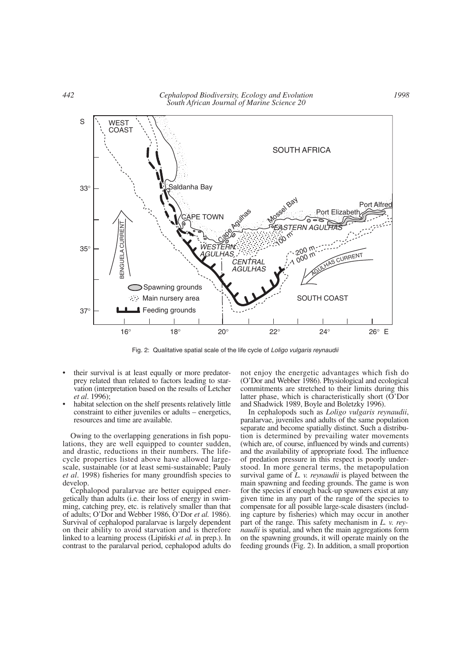

Fig. 2: Qualitative spatial scale of the life cycle of *Loligo vulgaris reynaudii*

- their survival is at least equally or more predatorprey related than related to factors leading to starvation (interpretation based on the results of Letcher *et al*. 1996);
- habitat selection on the shelf presents relatively little constraint to either juveniles or adults – energetics, resources and time are available.

Owing to the overlapping generations in fish populations, they are well equipped to counter sudden, and drastic, reductions in their numbers. The lifecycle properties listed above have allowed largescale, sustainable (or at least semi-sustainable; Pauly *et al*. 1998) fisheries for many groundfish species to develop.

Cephalopod paralarvae are better equipped energetically than adults (i.e. their loss of energy in swimming, catching prey, etc. is relatively smaller than that of adults; O'Dor and Webber 1986, O'Dor *et al.* 1986). Survival of cephalopod paralarvae is largely dependent on their ability to avoid starvation and is therefore linked to a learning process (Lipinski *et al.* in prep.). In contrast to the paralarval period, cephalopod adults do not enjoy the energetic advantages which fish do (O'Dor and Webber 1986). Physiological and ecological commitments are stretched to their limits during this latter phase, which is characteristically short (O'Dor and Shadwick 1989, Boyle and Boletzky 1996).

In cephalopods such as *Loligo vulgaris reynaudii*, paralarvae, juveniles and adults of the same population separate and become spatially distinct. Such a distribution is determined by prevailing water movements (which are, of course, influenced by winds and currents) and the availability of appropriate food. The influence of predation pressure in this respect is poorly understood. In more general terms, the metapopulation survival game of *L. v. reynaudii* is played between the main spawning and feeding grounds. The game is won for the species if enough back-up spawners exist at any given time in any part of the range of the species to compensate for all possible large-scale disasters (including capture by fisheries) which may occur in another part of the range. This safety mechanism in *L. v. reynaudii* is spatial, and when the main aggregations form on the spawning grounds, it will operate mainly on the feeding grounds (Fig. 2). In addition, a small proportion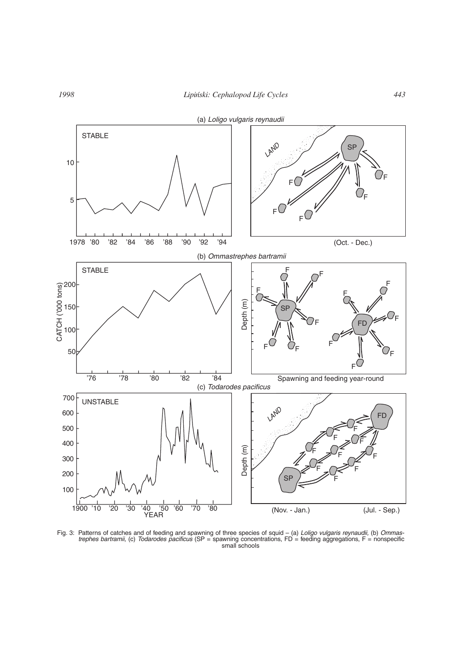

Fig. 3: Patterns of catches and of feeding and spawning of three species of squid – (a) *Loligo vulgaris reynaudii,* (b) *Ommastrephes bartramii,* (c) *Todarodes pacificus* (SP = spawning concentrations, FD = feeding aggregations, F = nonspecific small schools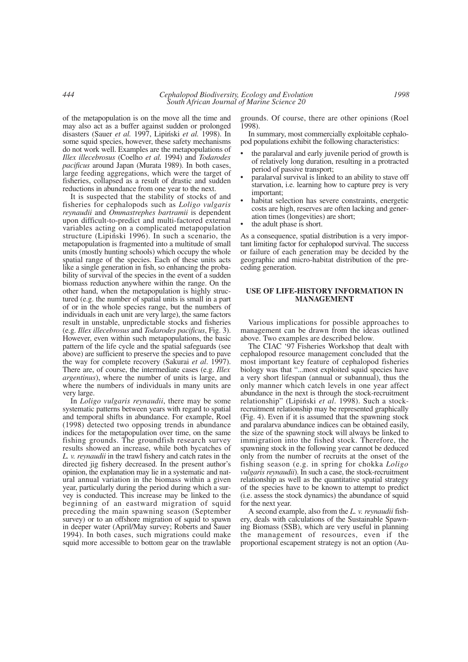of the metapopulation is on the move all the time and may also act as a buffer against sudden or prolonged disasters (Sauer et al. 1997, Lipiński et al. 1998). In some squid species, however, these safety mechanisms do not work well. Examples are the metapopulations of *Illex illecebrosus* (Coelho *et al.* 1994) and *Todarodes pacificus* around Japan (Murata 1989). In both cases, large feeding aggregations, which were the target of fisheries, collapsed as a result of drastic and sudden reductions in abundance from one year to the next.

It is suspected that the stability of stocks of and fisheries for cephalopods such as *Loligo vulgaris reynaudii* and *Ommastrephes bartramii* is dependent upon difficult-to-predict and multi-factored external variables acting on a complicated metapopulation structure (Lipiński 1996). In such a scenario, the metapopulation is fragmented into a multitude of small units (mostly hunting schools) which occupy the whole spatial range of the species. Each of these units acts like a single generation in fish, so enhancing the probability of survival of the species in the event of a sudden biomass reduction anywhere within the range. On the other hand, when the metapopulation is highly structured (e.g. the number of spatial units is small in a part of or in the whole species range, but the numbers of individuals in each unit are very large), the same factors result in unstable, unpredictable stocks and fisheries (e.g. *Illex illecebrosus* and *Todarodes pacificus*, Fig. 3). However, even within such metapopulations, the basic pattern of the life cycle and the spatial safeguards (see above) are sufficient to preserve the species and to pave the way for complete recovery (Sakurai *et al*. 1997). There are, of course, the intermediate cases (e.g. *Illex argentinus*), where the number of units is large, and where the numbers of individuals in many units are very large.

In *Loligo vulgaris reynaudii*, there may be some systematic patterns between years with regard to spatial and temporal shifts in abundance. For example, Roel (1998) detected two opposing trends in abundance indices for the metapopulation over time, on the same fishing grounds. The groundfish research survey results showed an increase, while both bycatches of *L. v. reynaudii* in the trawl fishery and catch rates in the directed jig fishery decreased. In the present author's opinion, the explanation may lie in a systematic and natural annual variation in the biomass within a given year, particularly during the period during which a survey is conducted. This increase may be linked to the beginning of an eastward migration of squid preceding the main spawning season (September survey) or to an offshore migration of squid to spawn in deeper water (April/May survey; Roberts and Sauer 1994). In both cases, such migrations could make squid more accessible to bottom gear on the trawlable

grounds. Of course, there are other opinions (Roel 1998).

In summary, most commercially exploitable cephalopod populations exhibit the following characteristics:

- the paralarval and early juvenile period of growth is of relatively long duration, resulting in a protracted period of passive transport;
- paralarval survival is linked to an ability to stave off starvation, i.e. learning how to capture prey is very important;
- habitat selection has severe constraints, energetic costs are high, reserves are often lacking and generation times (longevities) are short;
- the adult phase is short.

As a consequence, spatial distribution is a very important limiting factor for cephalopod survival. The success or failure of each generation may be decided by the geographic and micro-habitat distribution of the preceding generation.

## **USE OF LIFE-HISTORY INFORMATION IN MANAGEMENT**

Various implications for possible approaches to management can be drawn from the ideas outlined above. Two examples are described below.

The CIAC '97 Fisheries Workshop that dealt with cephalopod resource management concluded that the most important key feature of cephalopod fisheries biology was that "...most exploited squid species have a very short lifespan (annual or subannual), thus the only manner which catch levels in one year affect abundance in the next is through the stock-recruitment relationship" (Lipiński *et al.* 1998). Such a stockrecruitment relationship may be represented graphically (Fig. 4). Even if it is assumed that the spawning stock and paralarva abundance indices can be obtained easily, the size of the spawning stock will always be linked to immigration into the fished stock. Therefore, the spawning stock in the following year cannot be deduced only from the number of recruits at the onset of the fishing season (e.g. in spring for chokka *Loligo vulgaris reynaudii*). In such a case, the stock-recruitment relationship as well as the quantitative spatial strategy of the species have to be known to attempt to predict (i.e. assess the stock dynamics) the abundance of squid for the next year.

A second example, also from the *L. v. reynaudii* fishery, deals with calculations of the Sustainable Spawning Biomass (SSB), which are very useful in planning the management of resources, even if the proportional escapement strategy is not an option (Au-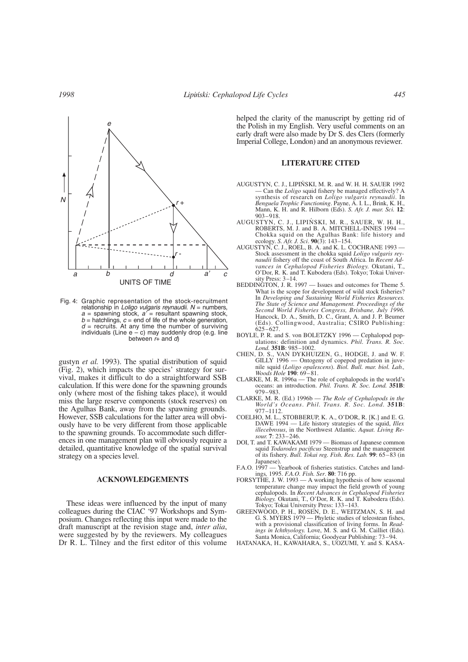

Fig. 4: Graphic representation of the stock-recruitment relationship in *Loligo vulgaris reynaudii*. *N* = numbers, *a* = spawning stock, *a'* = resultant spawning stock,  $b =$  hatchlings,  $c =$  end of life of the whole generation,  $d$  = recruits. At any time the number of surviving individuals (Line  $e - c$ ) may suddenly drop (e.g. line between *r*+ and *d*)

gustyn *et al.* 1993). The spatial distribution of squid (Fig. 2), which impacts the species' strategy for survival, makes it difficult to do a straightforward SSB calculation. If this were done for the spawning grounds only (where most of the fishing takes place), it would miss the large reserve components (stock reserves) on the Agulhas Bank, away from the spawning grounds. However, SSB calculations for the latter area will obviously have to be very different from those applicable to the spawning grounds. To accommodate such differences in one management plan will obviously require a detailed, quantitative knowledge of the spatial survival strategy on a species level.

#### **ACKNOWLEDGEMENTS**

These ideas were influenced by the input of many colleagues during the CIAC '97 Workshops and Symposium. Changes reflecting this input were made to the draft manuscript at the revision stage and, *inter alia*, were suggested by by the reviewers. My colleagues Dr R. L. Tilney and the first editor of this volume

helped the clarity of the manuscript by getting rid of the Polish in my English. Very useful comments on an early draft were also made by Dr S. des Clers (formerly Imperial College, London) and an anonymous reviewer.

#### **LITERATURE CITED**

- AUGUSTYN, C. J., LIPIŃSKI, M. R. and W. H. H. SAUER 1992 — Can the *Loligo* squid fishery be managed effectively? A synthesis of research on *Loligo vulgaris reynaudii*. In *Benguela Trophic Functioning*. Payne, A. I. L., Brink, K. H., Mann, K. H. and R. Hilborn (Eds). *S. Afr. J. mar. Sci.* **12**: 903–918.
- AUGUSTYN, C. J., LIPINSKI, M. R., SAUER, W. H. H., ´ ROBERTS, M. J. and B. A. MITCHELL-INNES 1994 — Chokka squid on the Agulhas Bank: life history and ecology. *S. Afr. J. Sci*. **90**(3): 143–154.
- AUGUSTYN, C. J., ROEL, B. A. and K. L. COCHRANE 1993 Stock assessment in the chokka squid *Loligo vulgaris reynaudii* fishery off the coast of South Africa. In *Recent Advances in Cephalopod Fisheries Biology.* Okutani, T., O'Dor, R. K. and T. Kubodera (Eds). Tokyo; Tokai University Press: 3–14.
- BEDDINGTON, J. R. 1997 Issues and outcomes for Theme 5. What is the scope for development of wild stock fisheries? In *Developing and Sustaining World Fisheries Resources. The State of Science and Management. Proceedings of the Second World Fisheries Congress, Brisbane, July 1996.* Hancock, D. A., Smith, D. C., Grant, A. and J. P. Beumer (Eds). Collingwood, Australia; CSIRO Publishing: 625–627.
- BOYLE, P. R. and S. von BOLETZKY 1996 Cephalopod populations: definition and dynamics. *Phil. Trans. R. Soc. Lond.* **351B**: 985–1002.
- CHEN, D. S., VAN DYKHUIZEN, G., HODGE, J. and W. F. GILLY 1996 — Ontogeny of copepod predation in juvenile squid (*Loligo opalescens*). *Biol. Bull. mar. biol. Lab., Woods Hole* **190**: 69–81.
- CLARKE, M. R. 1996a The role of cephalopods in the world's oceans: an introduction. *Phil. Trans. R. Soc. Lond.* **351B**: 979–983.
- CLARKE, M. R. (Ed.) 1996b *The Role of Cephalopods in the World's Oceans*. *Phil. Trans. R. Soc. Lond.* **351B**: 977–1112.
- COELHO, M. L., STOBBERUP, K. A., O'DOR, R. [K.] and E. G. DAWE 1994 — Life history strategies of the squid, *Illex illecebrosus*, in the Northwest Atlantic. *Aquat. Living Resour.* **7**: 233–246.
- DOI, T. and T. KAWAKAMI 1979 Biomass of Japanese common squid *Todarodes pacificus* Steenstrup and the management of its fishery. *Bull. Tokai reg. Fish. Res. Lab.* **99**: 65–83 (in Japanese).
- F.A.O. 1997 Yearbook of fisheries statistics. Catches and landings*,* 1995. *F.A.O. Fish. Ser*. **80**: 716 pp.
- FORSYTHE, J. W. 1993 A working hypothesis of how seasonal temperature change may impact the field growth of young cephalopods. In *Recent Advances in Cephalopod Fisheries Biology.* Okutani, T., O'Dor, R. K. and T. Kubodera (Eds). Tokyo; Tokai University Press: 133–143.
- GREENWOOD, P. H., ROSEN, D. E., WEITZMAN, S. H. and G. S. MYERS 1979 — Phyletic studies of teleostean fishes, with a provisional classification of living forms. In *Readings in Ichthyology.* Love, M. S. and G. M. Cailliet (Eds). Santa Monica, California; Goodyear Publishing: 73–94.
- HATANAKA, H., KAWAHARA, S., UOZUMI, Y. and S. KASA-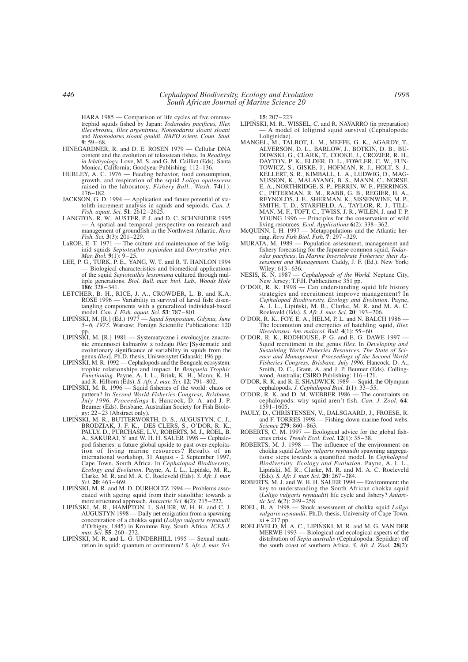HARA 1985 — Comparison of life cycles of five ommastrephid squids fished by Japan: *Todarodes pacificus, Illex illecebrosus, Illex argentinus, Nototodarus sloani sloani* and *Nototodarus sloani gouldi*. *NAFO scient. Coun. Stud.* **9**: 59–68.

- HINEGARDNER, R. and D. E. ROSEN 1979 Cellular DNA content and the evolution of teleostean fishes. In *Readings in Ichthyology.* Love, M. S. and G. M. Cailliet (Eds). Santa Monica, California; Goodyear Publishing: 112–136.
- HURLEY, A. C. 1976 Feeding behavior, food consumption, growth, and respiration of the squid *Loligo opalescens* raised in the laboratory. *Fishery Bull., Wash.* **74**(1): 176–182.
- JACKSON, G. D. 1994 Application and future potential of statolith increment analysis in squids and sepioids. *Can. J. Fish. aquat. Sci.* **51**: 2612–2625.
- LANGTON, R. W., AUSTER, P. J. and D. C. SCHNEIDER 1995 — A spatial and temporal perspective on research and management of groundfish in the Northwest Atlantic. *Revs Fish. Sci.* **3**(3): 201–229.
- LaROE, E. T.  $1971$  The culture and maintenance of the loliginid squids *Sepioteuthis sepioidea* and *Doryteuthis plei*. *Mar. Biol.* **9**(1): 9–25.
- LEE, P. G., TURK, P. E., YANG, W. T. and R. T. HANLON 1994 — Biological characteristics and biomedical applications of the squid *Sepioteuthis lessoniana* cultured through multiple generations. *Biol. Bull. mar. biol. Lab., Woods Hole* **186**: 328–341.
- LETCHER, B. H., RICE, J. A., CROWDER, L. B. and K.A. ROSE 1996 — Variability in survival of larval fish: disentangling components with a generalized individual-based
- model. *Can. J. Fish. aquat. Sci.* **53**: 787–801. LIPINSKI, M. [R.] (Ed.) 1977 ´ *Squid Symposium, Gdynia, June 5–6, 1973.* Warsaw; Foreign Scientific Publications: 120
- pp. LIPINSKI, M. [R.] 1981 Systematyczne i ewolucyjne znacze- ´ nie zmiennosci kalmarów z rodzaju *Illex* [Systematic and evolutionary significance of variability in squids from the genus *Illex*]. Ph.D. thesis, Uniwersytet Gdanski: 196 pp.
- LIPIŃSKI, M. R.  $1992$  Cephalopods and the Benguela ecosystem: trophic relationships and impact. In *Benguela Trophic Functioning.* Payne, A. I. L., Brink, K. H., Mann, K. H. and R. Hilborn (Eds). *S. Afr. J. mar. Sci.* **12**: 791–802.
- LIPINSKI, M. R. 1996 Squid fisheries of the world: chaos or ´ pattern? In *Second World Fisheries Congress, Brisbane, July 1996, Proceedings* **1.** Hancock, D. A. and J. P. Beumer (Eds). Brisbane, Australian Society for Fish Biology: 22–23 (Abstract only).
- LIPIŃSKI, M. R., BUTTERWÓRTH, D. S., AUGUSTYN, C. J., BRODZIAK, J. F. K., DES CLERS, S., O'DOR, R. K., PAULY, D., PURCHASE, L.V., ROBERTS, M. J., ROEL, B. A., SAKURAI, Y. and W. H. H. SAUER 1998 — Cephalopod fisheries: a future global upside to past over-exploita-<br>tion of living marine resources? Results of an tion of living marine resources? Results of an international workshop, 31 August - 2 September 1997, Cape Town, South Africa. In *Cephalopod Biodiversity, Ecology and Evolution. Payne, A. I. L., Lipiński, M. R.,* Clarke, M. R. and M. A. C. Roeleveld (Eds). *S. Afr. J. mar. Sci.* **20**: 463–469.
- LIPINSKI, M. R. and M. D. DURHOLTZ 1994 Problems associated with ageing squid from their statoliths: towards a more structured approach. *Antarctic Sci.* **6**(2): 215–222.
- LIPIŃSKI, M. R., HAMPTON, I., SAUER, W. H. H. and C. J. AUGUSTYN 1998 — Daily net emigration from a spawning concentration of a chokka squid (*Loligo vulgaris reynaudii* d'Orbigny, 1845) in Kromme Bay, South Africa. *ICES J. mar. Sci.* **55**: 260–272.
- LIPIŃSKI, M. R. and L. G. UNDERHILL 1995 Sexual maturation in squid: quantum or continuum? *S. Afr. J. mar. Sci.*

**15**: 207–223.

- LIPIŃSKI, M. R., WISSEL, C. and R. NAVARRO (in preparation) — A model of loliginid squid survival (Cephalopoda: Loliginidae).
- MANGEL, M., TALBOT, L. M., MEFFE, G. K., AGARDY, T., ALVERSON, D. L., BARLOW, J., BOTKIN, D. B., BU-DOWSKI, G., CLARK, T., COOKE, J., CROZIER, R. H., DAYTON, P. K., ELDER, D. L., FOWLER, C. W., FUN-TOWICZ, S., GISKE, J., HOFMAN, R. J., HOLT, S. J., KELLERT, S. R., KIMBALL, L. A., LUDWIG, D., MAG-NUSSON, K., MALAYANG, B. S., MANN, C., NORSE, E. A., NORTHRIDGE, S. P., PERRIN, W. F., PERRINGS, C., PETERMAN, R. M., RABB, G. B., REGIER, H. A., REYNOLDS, J. E., SHERMAN, K., SISSENWINE, M. P., SMITH, T. D., STARFIELD, A., TAYLOR, R. J., TILL-MAN, M. F., TOFT, C., TWISS, J. R., WILEN, J. and T. P. YOUNG 1996 — Principles for the conservation of wild living resources. *Ecol. Applications* **6**(2): 338–362.
- McQUINN, I. H. 1997 Metapopulations and the Atlantic herring. *Revs Fish Biol. Fish.* **7**: 297–329.
- MURATA, M. 1989 Population assessment, management and fishery forecasting for the Japanese common squid, *Todarodes pacificus*. In *Marine Invertebrate Fisheries: their Assessment and Management.* Caddy, J. F. (Ed.). New York; Wiley: 613–636.
- NESIS, K. N. 1987 *Cephalopods of the World.* Neptune City, New Jersey; T.F.H. Publications: 351 pp.
- O'DOR, R. K. 1998 Can understanding squid life history strategies and recruitment improve management? In *Cephalopod Biodiversity, Ecology and Evolution.* Payne, A. I. L., Lipiński, M. R., Clarke, M. R. and M. A. C. Roeleveld (Eds). *S. Afr. J. mar. Sci.* **20**: 193–206.
- O'DOR, R. K., FOY, E. A., HELM, P. L. and N. BALCH 1986 The locomotion and energetics of hatchling squid, *Illex illecebrosus*. *Am. malacol. Bull*. **4**(1): 55–60.
- O'DOR, R. K., RODHOUSE, P. G. and E. G. DAWE 1997 Squid recruitment in the genus *Illex*. In *Developing and Sustaining World Fisheries Resources. The State of Science and Management. Proceedings of the Second World Fisheries Congress, Brisbane, July 1996.* Hancock, D. A., Smith, D. C., Grant, A. and J. P. Beumer (Eds). Collingwood, Australia; CSIRO Publishing: 116–121.
- O'DOR, R. K. and R. E. SHADWICK 1989 Squid, the Olympian cephalopods. *J. Cephalopod Biol.* **1**(1): 33–55.
- O'DOR, R. K. and D. M. WEBBER 1986 The constraints on cephalopods: why squid aren't fish. *Can. J. Zool.* **64**: 1591–1605.
- PAULY, D., CHRISTENSEN, V., DALSGAARD, J., FROESE, R. and F. TORRES 1998 — Fishing down marine food webs. *Science* **279**: 860–863.
- ROBERTS, C. M. 1997 Ecological advice for the global fisheries crisis. *Trends Ecol. Evol.* **12**(1): 35–38.
- ROBERTS, M. J. 1998 The influence of the environment on chokka squid *Loligo vulgaris reynaudii* spawning aggregations: steps towards a quantified model. In *Cephalopod Biodiversity, Ecology and Evolution.* Payne, A. I. L., Lipi´nski, M. R., Clarke, M. R. and M. A. C. Roeleveld (Eds). *S. Afr. J. mar. Sci.* **20**: 267–284.
- ROBERTS, M. J. and W. H. H. SAUER 1994 Environment: the key to understanding the South African chokka squid (*Loligo vulgaris reynaudii*) life cycle and fishery? *Antarctic Sci.* **6**(2): 249–258.
- ROEL, B. A. 1998 Stock assessment of chokka squid *Loligo vulgaris reynaudii*. Ph.D. thesis, University of Cape Town.
- xi + 217 pp. ROELEVELD, M. A. C., LIPINSKI, M. R. and M. G. VAN DER ´ MERWE 1993 — Biological and ecological aspects of the distribution of *Sepia australis* (Cephalopoda: Sepiidae) off the south coast of southern Africa. *S. Afr. J. Zool.* **28**(2):